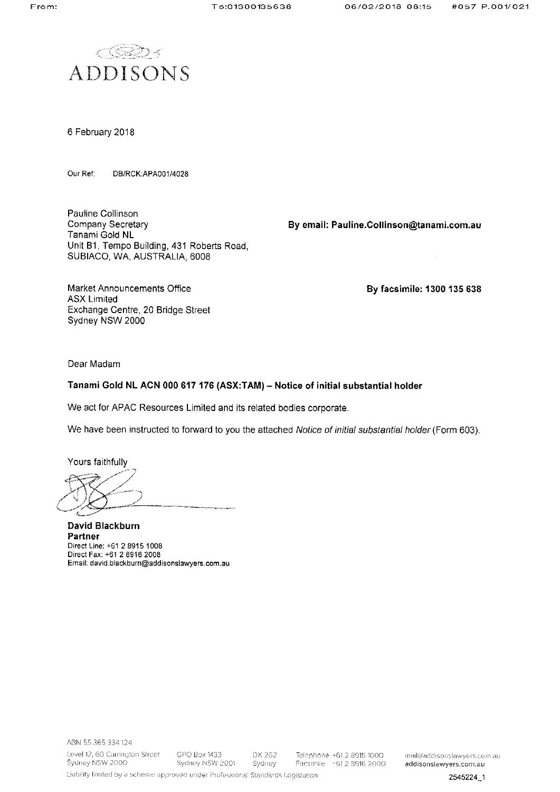

6 February 2018

Our Ref: DB/RCK:APA001/4028

Pauline Collinson Company Secretary Tanami Gold NL Unit B1, Tempo Building, 431 Roberts Road, SUBIACO, WA, AUSTRALIA, 6008

By email: Pauline.Collinson@tanami.com.au

Market Announcements Office **ASX Limited** Exchange Centre, 20 Bridge Street Sydney NSW 2000

By facsimile: 1300 135 638

Dear Madam

# Tanami Gold NL ACN 000 617 176 (ASX:TAM) - Notice of initial substantial holder

We act for APAC Resources Limited and its related bodies corporate.

We have been instructed to forward to you the attached Notice of initial substantial holder (Form 603).

Yours faithfully

David Blackburn Partner Direct Line: +61 2 8915 1008 Direct Fax: +61 2 8916 2008 Email: david.blackburn@addisonslawyers.com.au

mail@addisonslawyers.com.au addisonslawyers.com.au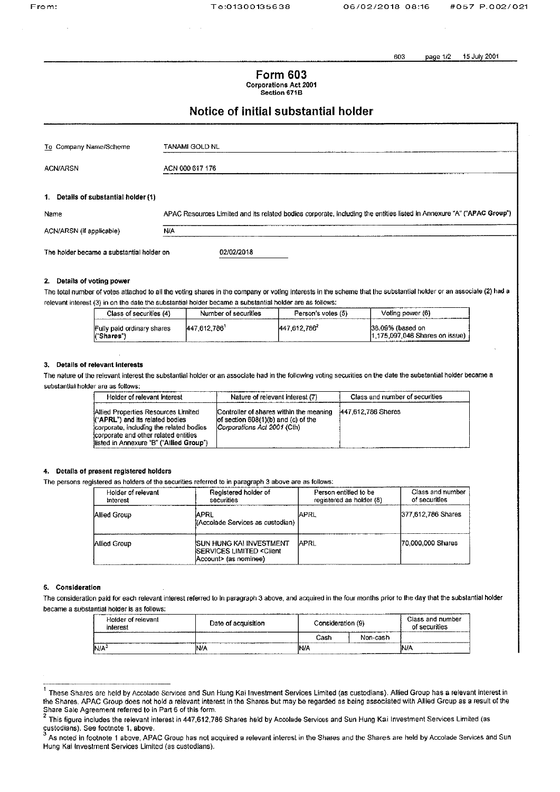603 15 July 2001 page 1/2

**Form 603 Corporations Act 2001** Section 671B

# Notice of initial substantial holder

| To Company Name/Scheme                    | TANAMI GOLD NL                                                                                                        |
|-------------------------------------------|-----------------------------------------------------------------------------------------------------------------------|
| <b>ACN/ARSN</b>                           | ACN 000 617 176                                                                                                       |
| 1. Details of substantial holder (1)      |                                                                                                                       |
| Name                                      | APAC Resources Limited and its related bodies corporate, including the entities listed in Annexure "A" ("APAC Group") |
| ACN/ARSN (if applicable)                  | N/A                                                                                                                   |
| The holder became a substantial holder on | 02/02/2018                                                                                                            |

# 2. Details of voting power

The total number of votes attached to all the voting shares in the company or voting interests in the scheme that the substantial holder or an associate (2) had a relevant interest (3) in on the date the substantial holder became a substantial holder are as follows:

| Class of securities (4)                  | Number of securities | Person's votes (5) | Voting power (6)                                     |
|------------------------------------------|----------------------|--------------------|------------------------------------------------------|
| Fully paid ordinary shares<br>("Shares") | 447 612 786          | 447.612.7861       | 138.09% (based on<br>11.175.097.046 Shares on issue) |

# 3. Details of relevant interests

The nature of the relevant interest the substantial holder or an associate had in the following voting securities on the date the substantial holder became a substantial holder are as follows:

| Holder of relevant interest                                                                                                                                                                           | Nature of relevant interest (7)                                                                                   | Class and number of securities |
|-------------------------------------------------------------------------------------------------------------------------------------------------------------------------------------------------------|-------------------------------------------------------------------------------------------------------------------|--------------------------------|
| Allied Properties Resources Limited<br>("APRL") and its related bodies<br>corporate, including the related bodies<br>icorporate and other related entities<br>listed in Annexure "B" ("Allied Group") | Controller of shares within the meaning<br>of section $608(1)(b)$ and $(c)$ of the<br>Corporations Act 2001 (Cth) | 447.612.786 Shares             |

# 4. Details of present registered holders

The persons registered as holders of the securities referred to in paragraph 3 above are as follows:

| Holder of relevant<br>Interest | Registered holder of<br>securities                                                                                | Person entitled to be<br>registered as holder (8) | Class and number<br>of securities |
|--------------------------------|-------------------------------------------------------------------------------------------------------------------|---------------------------------------------------|-----------------------------------|
| Allied Group                   | IAPRL<br>((Accolade Services as custodian)                                                                        | IAPRL                                             | 377,612,786 Shares                |
| Allied Group                   | <b>ISUN HUNG KAI INVESTMENT</b><br><b>ISERVICES LIMITED <client< b=""><br/>Account&gt; (as nominee)</client<></b> | IAPRL                                             | 170,000,000 Shares                |

# 5. Consideration

The consideration paid for each relevant interest referred to in paragraph 3 above, and acquired in the four months prior to the day that the substantial holder became a substantial holder is as follows:

| Holder of relevant<br>interest | Consideration (9)<br>Date of acquisition<br>______________ |      | Class and number<br>of securities |      |
|--------------------------------|------------------------------------------------------------|------|-----------------------------------|------|
|                                |                                                            | Cash | Non-cash                          |      |
| JN/A'                          | NIA                                                        | M۸   |                                   | IN/A |

 $\mathbf{1}$ These Shares are held by Accolade Services and Sun Hung Kai Investment Services Limited (as custodians). Allied Group has a relevant interest in the Shares. APAC Group does not hold a relevant interest in the Shares but may be regarded as being associated with Allied Group as a result of the Share Sale Agreement referred to in Part 6 of this form.<br><sup>2</sup> This figure includes the relevant interest in 447,612,786 Shares held by Accolade Services and Sun Hung Kai Investment Services Limited (as

custodians). See footnote 1, above.

As noted in footnote 1 above, APAC Group has not acquired a relevant interest in the Shares and the Shares are held by Accolade Services and Sun Hung Kai Investment Services Limited (as custodians).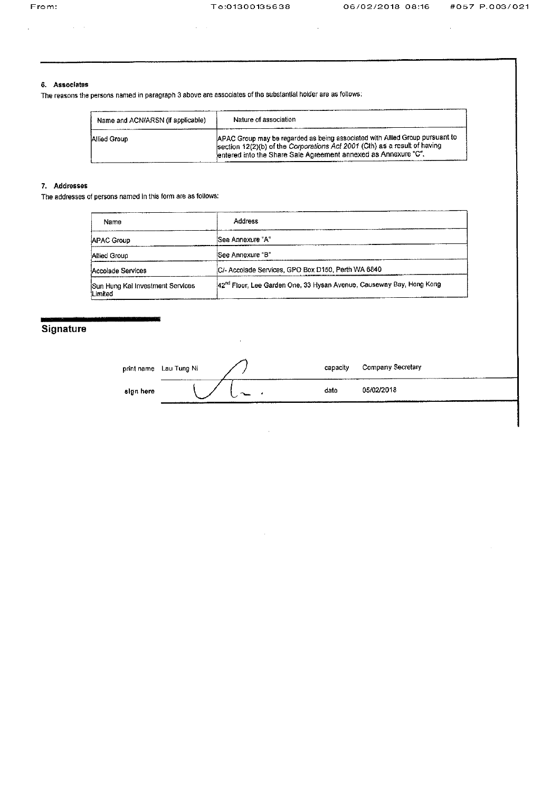# 6. Associates

 $\mathcal{L}^{\text{c}}$  ,  $\mathcal{L}^{\text{c}}$  ,  $\mathcal{L}^{\text{c}}$ 

The reasons the persons named in paragraph 3 above are associates of the substantial holder are as follows:

 $\bar{z}$ 

| Name and ACN/ARSN (if applicable) | Nature of association                                                                                                                                                                                                        |
|-----------------------------------|------------------------------------------------------------------------------------------------------------------------------------------------------------------------------------------------------------------------------|
| Allied Group                      | APAC Group may be regarded as being associated with Allied Group pursuant to<br>section 12(2)(b) of the Corporations Act 2001 (Cth) as a result of having<br>lentered into the Share Sale Agreement annexed as Annexure "C". |

# 7. Addresses

The addresses of persons named in this form are as follows:

| Name                                        | Address                                                                          |
|---------------------------------------------|----------------------------------------------------------------------------------|
| <b>APAC Group</b>                           | See Annexure "A"                                                                 |
| Allied Group                                | See Annexure "B"                                                                 |
| Accolade Services                           | IC/- Accolade Services, GPO Box D150, Perth WA 6840                              |
| Sun Hung Kai Investment Services<br>Limited | 42 <sup>nd</sup> Floor, Lee Garden One, 33 Hysan Avenue, Causeway Bay, Hong Kong |

 $\sim$ 

# Signature

|           | print name Lau Tung Ni | capacity | Company Secretary |
|-----------|------------------------|----------|-------------------|
| sign here |                        | date     | 05/02/2018        |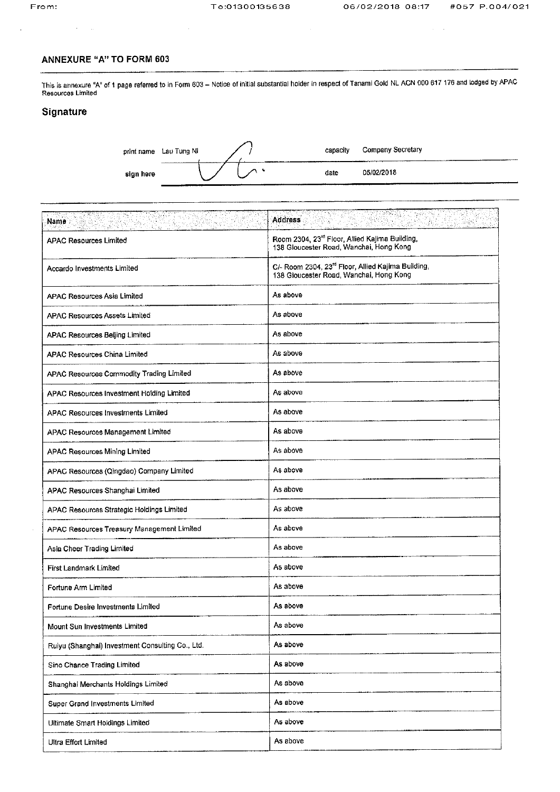$\sim$ 

# **ANNEXURE "A" TO FORM 603**

This is annexure "A" of 1 page referred to in Form 603 - Notice of initial substantial holder in respect of Tanami Gold NL ACN 000 617 176 and lodged by APAC Resources Limited

# Signature

|           | print name Lau Tung Ni |        | capacity | Company Secretary |
|-----------|------------------------|--------|----------|-------------------|
| sign here | .                      | ------ | date     | 05/02/2018        |

| Name<br><u>ISON MARINE (M</u>                    | <b>Address</b><br>网络威廉<br>Company<br>T AS                                                                 |
|--------------------------------------------------|-----------------------------------------------------------------------------------------------------------|
| <b>APAC Resources Limited</b>                    | Room 2304, 23rd Floor, Allied Kajima Building,<br>138 Gloucester Road, Wanchai, Hong Kong                 |
| Accardo Investments Limited                      | C/- Room 2304, 23 <sup>rd</sup> Floor, Allied Kajima Building,<br>138 Gloucester Road, Wanchai, Hong Kong |
| <b>APAC Resources Asia Limited</b>               | As above                                                                                                  |
| <b>APAC Resources Assets Limited</b>             | As above                                                                                                  |
| <b>APAC Resources Beijing Limited</b>            | As above                                                                                                  |
| <b>APAC Resources China Limited</b>              | As above                                                                                                  |
| APAC Resources Commodity Trading Limited         | As above                                                                                                  |
| APAC Resources Investment Holding Limited        | As above                                                                                                  |
| APAC Resources Investments Limited               | As above                                                                                                  |
| APAC Resources Management Limited                | As above                                                                                                  |
| <b>APAC Resources Mining Limited</b>             | As above                                                                                                  |
| APAC Resources (Qingdao) Company Limited         | As above                                                                                                  |
| APAC Resources Shanghai Limited                  | As above                                                                                                  |
| APAC Resources Strategic Holdings Limited        | As above                                                                                                  |
| APAC Resources Treasury Management Limited       | As above                                                                                                  |
| Asia Cheer Trading Limited                       | As above                                                                                                  |
| First Landmark Limited                           | As above                                                                                                  |
| Fortune Arm Limited                              | As above                                                                                                  |
| Fortune Desire Investments Limited               | As above                                                                                                  |
| Mount Sun Investments Limited                    | As above                                                                                                  |
| Ruiyu (Shanghai) Investment Consulting Co., Ltd. | As above                                                                                                  |
| Sino Chance Trading Limited                      | As above                                                                                                  |
| Shanghai Merchants Holdings Limited              | As above                                                                                                  |
| Super Grand Investments Limited                  | As above                                                                                                  |
| Ultimate Smart Holdings Limited                  | As above                                                                                                  |
| Ultra Effort Limited                             | As above                                                                                                  |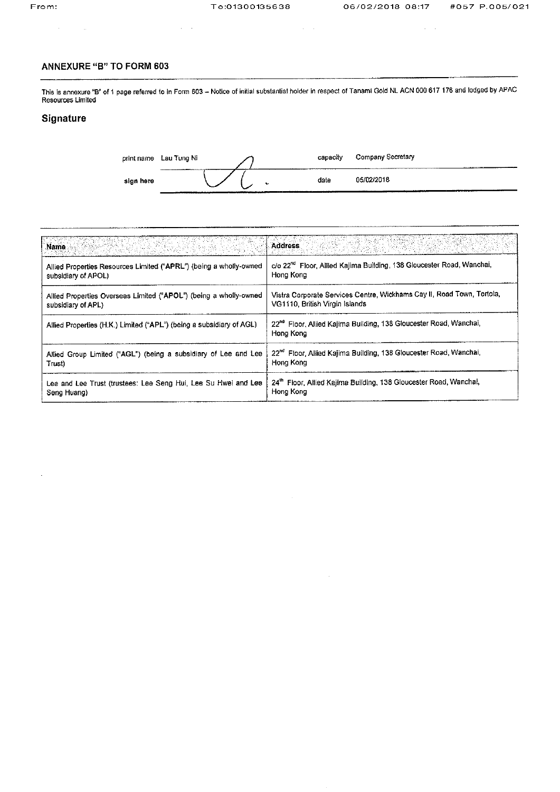# From:

 $\sim 10^{-10}$ 

 $\alpha\in\mathcal{A}$ 

# **ANNEXURE "B" TO FORM 603**

 $\sim 10^{11}$ 

This is annexure "B" of 1 page referred to in Form 603 - Notice of initial substantial holder in respect of Tanami Gold NL ACN 000 617 176 and lodged by APAC<br>Resources Limited

# Signature

 $\hat{\mathcal{A}}$ 

|           | print name Lau Tung Ni | .<br>----- |   | capacity | Company Secretary |
|-----------|------------------------|------------|---|----------|-------------------|
| sign here |                        |            | ∼ | date     | 05/02/2018        |

 $\bar{z}$ 

 $\alpha\in\mathcal{A}$ 

| Name<br>- 250km, 2013.2020                                           | <b>Address</b>                                                                             |
|----------------------------------------------------------------------|--------------------------------------------------------------------------------------------|
| Allied Properties Resources Limited ("APRL") (being a wholly-owned   | c/o 22 <sup>nd</sup> Floor, Allied Kajima Building, 138 Gloucester Road, Wanchai,          |
| subsidiary of APOL)                                                  | Hong Kong                                                                                  |
| Allied Properties Overseas Limited ("APOL") (being a wholly-owned    | Vistra Corporate Services Centre, Wickhams Cay II, Road Town, Tortola,                     |
| subsidiary of APL)                                                   | VG1110, British Virgin Islands                                                             |
| Allied Properties (H.K.) Limited ("APL") (being a subsidiary of AGL) | 22 <sup>nd</sup> Floor, Allied Kajima Building, 138 Gloucester Road, Wanchai,<br>Hong Kong |
| Allied Group Limited ("AGL") (being a subsidiary of Lee and Lee      | 22 <sup>nd</sup> Floor, Allied Kajima Building, 138 Gloucester Road, Wanchai,              |
| Trust)                                                               | Hong Kong                                                                                  |
| Lee and Lee Trust (trustees: Lee Seng Hui, Lee Su Hwei and Lee       | 24 <sup>th</sup> Floor, Allied Kajima Building, 138 Gloucester Road, Wanchai,              |
| Seng Huang)                                                          | Hong Kong                                                                                  |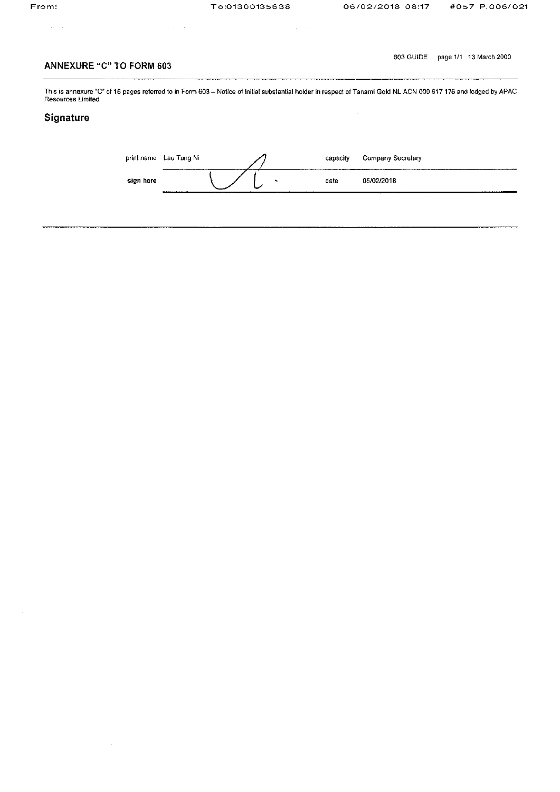$\alpha$  ,  $\beta$ 

 $\mathcal{A} \subset \mathcal{A}$  .

603 GUIDE page 1/1 13 March 2000

# **ANNEXURE "C" TO FORM 603**

 $\hat{\boldsymbol{\beta}}$ 

This is annexure "C" of 16 pages referred to in Form 603 – Notice of initial substantial holder in respect of Tanami Gold NL ACN 000 617 176 and lodged by APAC<br>Resources Limited

 $\sim 400$  km

# Signature

|           | print name Lau Tung Ni                |  | capacity | Company Secretary        |
|-----------|---------------------------------------|--|----------|--------------------------|
| sign here | <b>A 4-10-12-1-12-1-1-1-1-1-1-1-1</b> |  | date     | 05/02/2018<br>. <b>.</b> |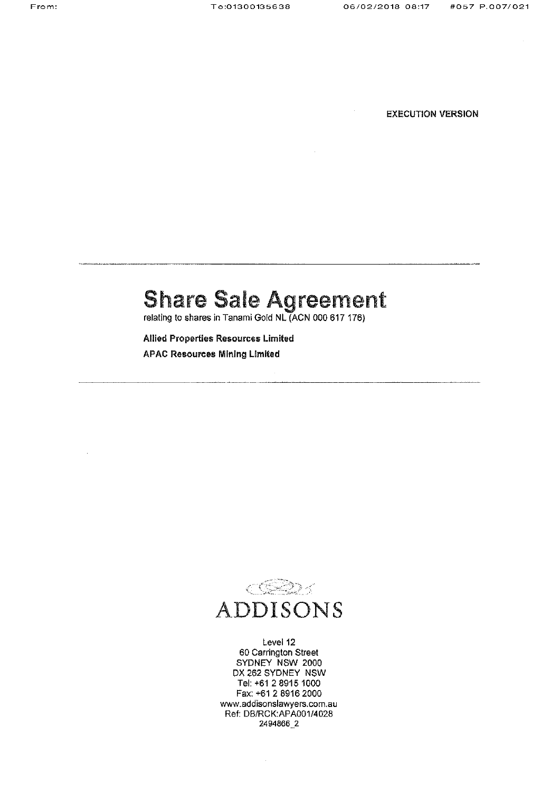**EXECUTION VERSION** 

# Share Sale Agreement

relating to shares in Tanami Gold NL (ACN 000 617 176)

Allied Properties Resources Limited APAC Resources Mining Limited



Level 12 60 Carrington Street SYDNEY NSW 2000 DX 282 SYDNEY NSW Tel:+612 89151000 Fax: +61 2 8916 2000 www.addisonslawyers.com.au Ref: DB/RCK:APA001/4028 2494886-2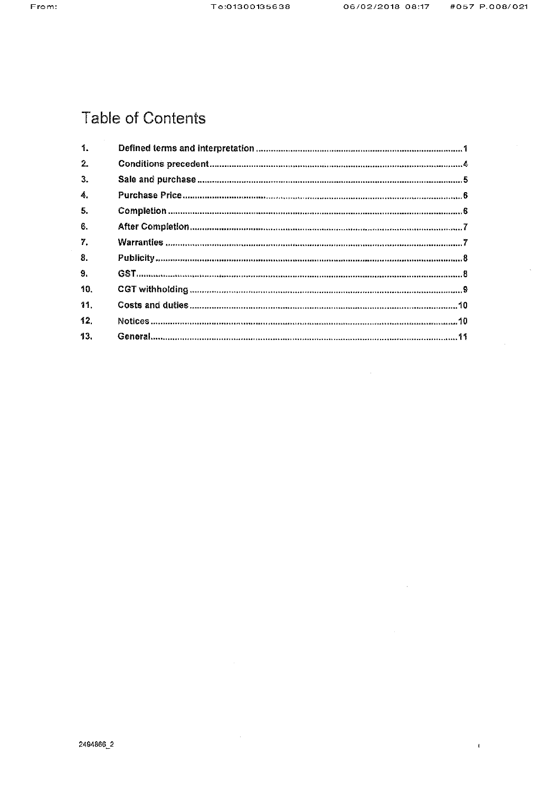$\mathbf{I}$ 

# **Table of Contents**

| 1.  |  |
|-----|--|
| 2.  |  |
| 3.  |  |
| 4.  |  |
| 5.  |  |
| 6.  |  |
| 7.  |  |
| 8.  |  |
| 9.  |  |
| 10. |  |
| 11. |  |
| 12. |  |
| 13. |  |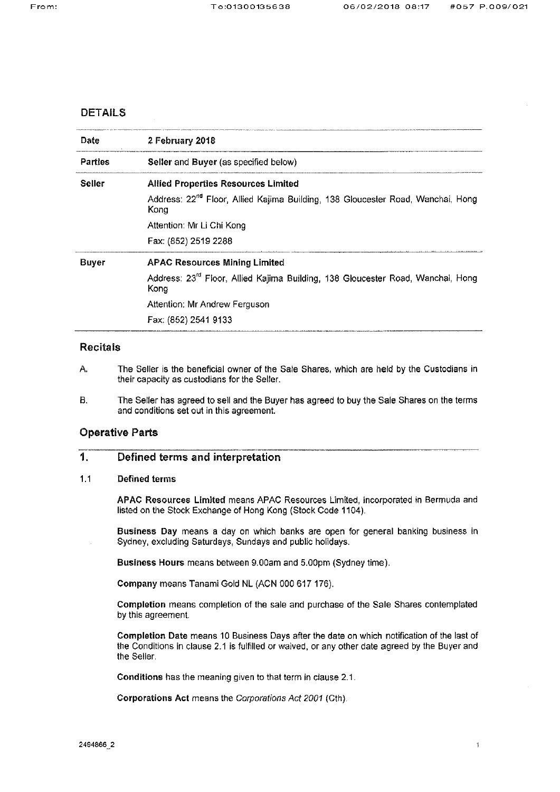# **DETAILS**

| Date           | 2 February 2018                                                                                     |  |  |  |  |
|----------------|-----------------------------------------------------------------------------------------------------|--|--|--|--|
| <b>Parties</b> | Seller and Buyer (as specified below)                                                               |  |  |  |  |
| Seller         | <b>Allied Properties Resources Limited</b>                                                          |  |  |  |  |
|                | Address: 22 <sup>nd</sup> Floor, Allied Kajima Building, 138 Gloucester Road, Wanchai, Hong<br>Kong |  |  |  |  |
|                | Attention: Mr Li Chi Kong                                                                           |  |  |  |  |
|                | Fax: (852) 2519 2288                                                                                |  |  |  |  |
| <b>Buyer</b>   | <b>APAC Resources Mining Limited</b>                                                                |  |  |  |  |
|                | Address: 23 <sup>rd</sup> Floor, Allied Kajima Building, 138 Gloucester Road, Wanchai, Hong<br>Kong |  |  |  |  |
|                | Attention: Mr Andrew Ferguson                                                                       |  |  |  |  |
|                | Fax: (852) 2541 9133                                                                                |  |  |  |  |

# **Recitals**

- А. The Seller is the beneficial owner of the Sale Shares, which are held by the Custodians in their capacity as custodians for the Seller.
- **B.** The Seller has agreed to sell and the Buyer has agreed to buy the Sale Shares on the terms and conditions set out in this agreement.

# **Operative Parts**

## 1. Defined terms and interpretation

#### $1.1$ **Defined terms**

APAC Resources Limited means APAC Resources Limited, incorporated in Bermuda and listed on the Stock Exchange of Hong Kong (Stock Code 1104).

Business Day means a day on which banks are open for general banking business in Sydney, excluding Saturdays, Sundays and public holidays.

Business Hours means between 9.00am and 5.00pm (Sydney time).

Company means Tanami Gold NL (ACN 000 617 176).

Completion means completion of the sale and purchase of the Sale Shares contemplated by this agreement.

Completion Date means 10 Business Days after the date on which notification of the last of the Conditions in clause 2.1 is fulfilled or waived, or any other date agreed by the Buyer and the Seller.

Conditions has the meaning given to that term in clause 2.1.

Corporations Act means the Corporations Act 2001 (Cth).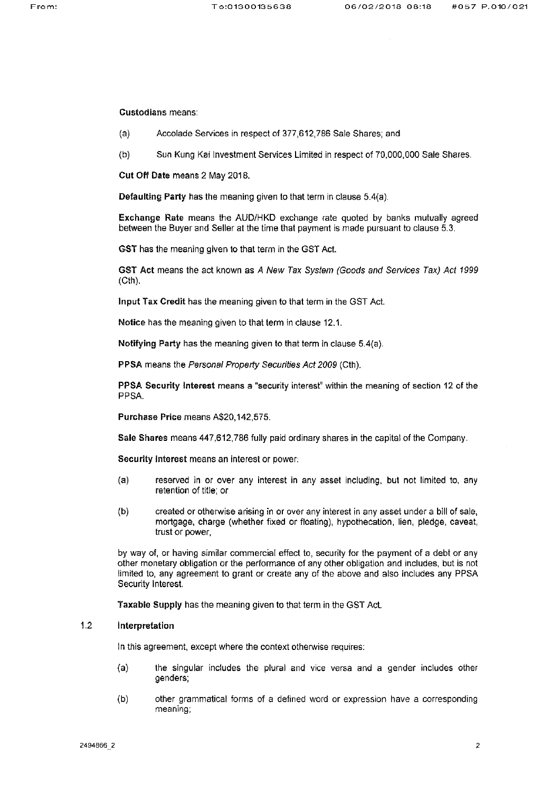**Custodians means:** 

- Accolade Services in respect of 377,612,786 Sale Shares; and  $(a)$
- $(b)$ Sun Kung Kai Investment Services Limited in respect of 70,000,000 Sale Shares.

Cut Off Date means 2 May 2018.

Defaulting Party has the meaning given to that term in clause 5.4(a).

Exchange Rate means the AUD/HKD exchange rate quoted by banks mutually agreed between the Buyer and Seller at the time that payment is made pursuant to clause 5.3.

GST has the meaning given to that term in the GST Act.

GST Act means the act known as A New Tax System (Goods and Services Tax) Act 1999  $(Cth)$ .

Input Tax Credit has the meaning given to that term in the GST Act.

Notice has the meaning given to that term in clause 12.1.

Notifying Party has the meaning given to that term in clause 5.4(a).

PPSA means the Personal Property Securities Act 2009 (Cth).

PPSA Security Interest means a "security interest" within the meaning of section 12 of the PPSA.

Purchase Price means A\$20,142,575.

Sale Shares means 447,612,786 fully paid ordinary shares in the capital of the Company.

Security Interest means an interest or power:

- $(a)$ reserved in or over any interest in any asset including, but not limited to, any retention of title; or
- $(b)$ created or otherwise arising in or over any interest in any asset under a bill of sale, mortgage, charge (whether fixed or floating), hypothecation, lien, pledge, caveat, trust or power,

by way of, or having similar commercial effect to, security for the payment of a debt or any other monetary obligation or the performance of any other obligation and includes, but is not limited to, any agreement to grant or create any of the above and also includes any PPSA Security Interest.

Taxable Supply has the meaning given to that term in the GST Act.

# $1.2$ Interpretation

In this agreement, except where the context otherwise requires:

- $(a)$ the singular includes the plural and vice versa and a gender includes other genders;
- $(b)$ other grammatical forms of a defined word or expression have a corresponding meaning;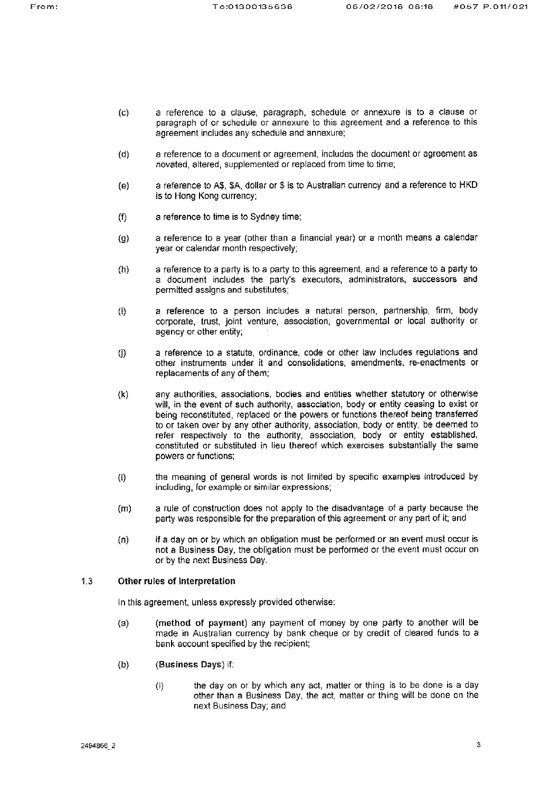- $(c)$ a reference to a clause, paragraph, schedule or annexure is to a clause or paragraph of or schedule or annexure to this agreement and a reference to this agreement includes any schedule and annexure;
- a reference to a document or agreement, includes the document or agreement as  $(d)$ novated, altered, supplemented or replaced from time to time;
- a reference to A\$, \$A, dollar or \$ is to Australian currency and a reference to HKD  $(e)$ is to Hong Kong currency:
- $(f)$ a reference to time is to Sydney time;
- a reference to a year (other than a financial year) or a month means a calendar  $(q)$ year or calendar month respectively;
- a reference to a party is to a party to this agreement, and a reference to a party to  $(h)$ a document includes the party's executors, administrators, successors and permitted assigns and substitutes;
- a reference to a person includes a natural person, partnership, firm, body  $(i)$ corporate, trust, joint venture, association, governmental or local authority or agency or other entity;
- a reference to a statute, ordinance, code or other law includes regulations and  $($ j $)$ other instruments under it and consolidations, amendments, re-enactments or replacements of any of them;
- $(k)$ any authorities, associations, bodies and entities whether statutory or otherwise will, in the event of such authority, association, body or entity ceasing to exist or being reconstituted, replaced or the powers or functions thereof being transferred to or taken over by any other authority, association, body or entity, be deemed to refer respectively to the authority, association, body or entity established, constituted or substituted in lieu thereof which exercises substantially the same powers or functions:
- the meaning of general words is not limited by specific examples introduced by  $(1)$ including, for example or similar expressions;
- a rule of construction does not apply to the disadvantage of a party because the  $(m)$ party was responsible for the preparation of this agreement or any part of it; and
- if a day on or by which an obligation must be performed or an event must occur is  $(n)$ not a Business Day, the obligation must be performed or the event must occur on or by the next Business Day.

# $1.3$ Other rules of interpretation

In this agreement, unless expressly provided otherwise:

- (method of payment) any payment of money by one party to another will be  $(a)$ made in Australian currency by bank cheque or by credit of cleared funds to a bank account specified by the recipient;
- $(b)$ (Business Days) if:
	- $(i)$ the day on or by which any act, matter or thing is to be done is a day other than a Business Day, the act, matter or thing will be done on the next Business Day; and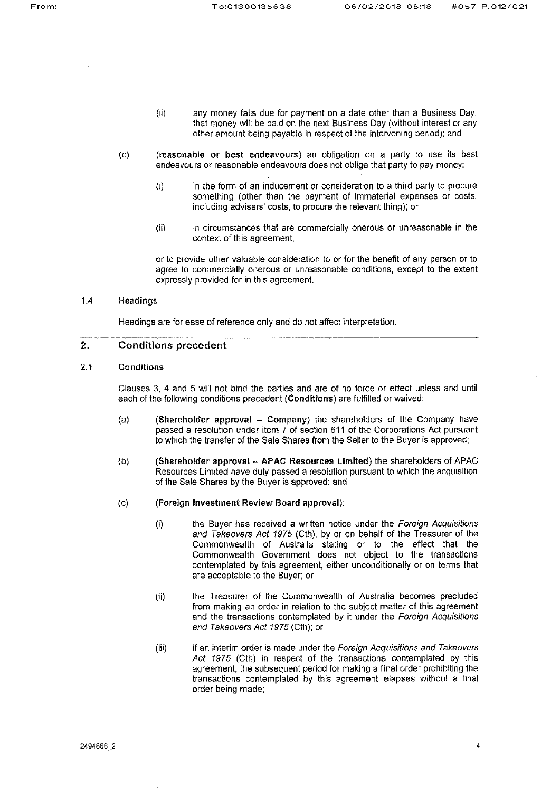- $(ii)$ any money falls due for payment on a date other than a Business Day, that money will be paid on the next Business Day (without interest or any other amount being payable in respect of the intervening period); and
- $\mathcal{L}(\mathbf{C})$ (reasonable or best endeavours) an obligation on a party to use its best endeavours or reasonable endeavours does not oblige that party to pay money:
	- in the form of an inducement or consideration to a third party to procure  $(i)$ something (other than the payment of immaterial expenses or costs, including advisers' costs, to procure the relevant thing); or
	- in circumstances that are commercially onerous or unreasonable in the  $(ii)$ context of this agreement,

or to provide other valuable consideration to or for the benefit of any person or to agree to commercially onerous or unreasonable conditions, except to the extent expressly provided for in this agreement.

# $1.4$ Headings

Headings are for ease of reference only and do not affect interpretation.

# $\hat{z}$ **Conditions precedent**

# $2.1$ Conditions

Clauses 3, 4 and 5 will not bind the parties and are of no force or effect unless and until each of the following conditions precedent (Conditions) are fulfilled or waived:

- (Shareholder approval Company) the shareholders of the Company have  $(a)$ passed a resolution under item 7 of section 611 of the Corporations Act pursuant to which the transfer of the Sale Shares from the Seller to the Buyer is approved;
- (Shareholder approval APAC Resources Limited) the shareholders of APAC  $(b)$ Resources Limited have duly passed a resolution pursuant to which the acquisition of the Sale Shares by the Buyer is approved; and
- (Foreign Investment Review Board approval):  $(c)$ 
	- the Buyer has received a written notice under the Foreign Acquisitions  $(i)$ and Takeovers Act 1975 (Cth), by or on behalf of the Treasurer of the Commonwealth of Australia stating or to the effect that the Commonwealth Government does not object to the transactions contemplated by this agreement, either unconditionally or on terms that are acceptable to the Buyer; or
	- $(ii)$ the Treasurer of the Commonwealth of Australia becomes precluded from making an order in relation to the subject matter of this agreement and the transactions contemplated by it under the Foreign Acquisitions and Takeovers Act 1975 (Cth); or
	- $(iii)$ if an interim order is made under the Foreign Acquisitions and Takeovers Act 1975 (Cth) in respect of the transactions contemplated by this agreement, the subsequent period for making a final order prohibiting the transactions contemplated by this agreement elapses without a final order being made;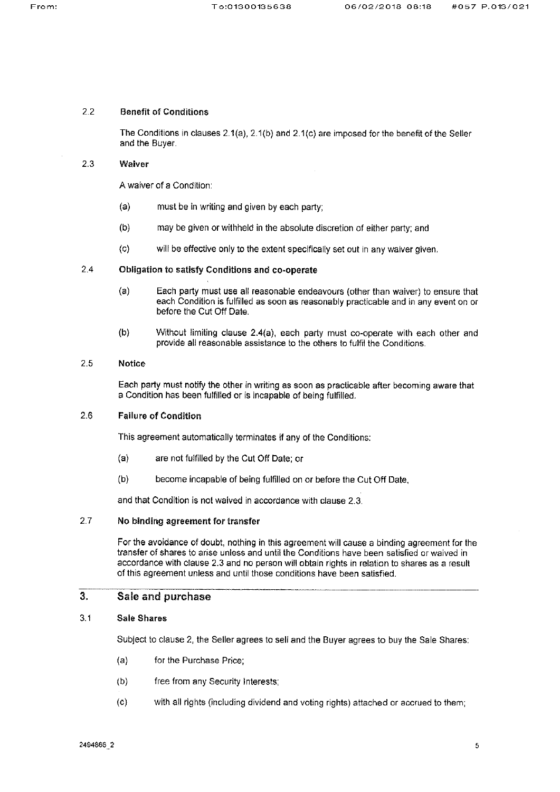## $2.2$ **Benefit of Conditions**

The Conditions in clauses  $2.1(a)$ ,  $2.1(b)$  and  $2.1(c)$  are imposed for the benefit of the Seller and the Buver.

## $2.3$ Waiver

A waiver of a Condition:

- $(a)$ must be in writing and given by each party;
- $(b)$ may be given or withheld in the absolute discretion of either party; and
- $(c)$ will be effective only to the extent specifically set out in any waiver given.

# $2.4$ Obligation to satisfy Conditions and co-operate

- $(a)$ Each party must use all reasonable endeavours (other than waiver) to ensure that each Condition is fulfilled as soon as reasonably practicable and in any event on or before the Cut Off Date.
- $(b)$ Without limiting clause 2.4(a), each party must co-operate with each other and provide all reasonable assistance to the others to fulfil the Conditions.

## $2.5$ **Notice**

Each party must notify the other in writing as soon as practicable after becoming aware that a Condition has been fulfilled or is incapable of being fulfilled.

# $2.6$ **Failure of Condition**

This agreement automatically terminates if any of the Conditions:

- $(a)$ are not fulfilled by the Cut Off Date; or
- $(b)$ become incapable of being fulfilled on or before the Cut Off Date,

and that Condition is not waived in accordance with clause 2.3.

# $2.7$ No binding agreement for transfer

For the avoidance of doubt, nothing in this agreement will cause a binding agreement for the transfer of shares to arise unless and until the Conditions have been satisfied or waived in accordance with clause 2.3 and no person will obtain rights in relation to shares as a result of this agreement unless and until those conditions have been satisfied.

# $3.$ Sale and purchase

# $3.1$ **Sale Shares**

Subject to clause 2, the Seller agrees to sell and the Buyer agrees to buy the Sale Shares:

- $(a)$ for the Purchase Price;
- free from any Security Interests;  $(b)$
- $(c)$ with all rights (including dividend and voting rights) attached or accrued to them;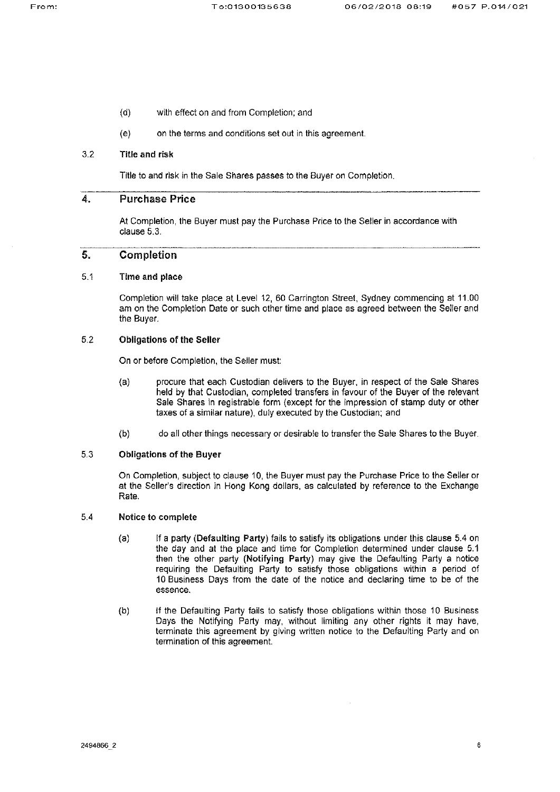- $(c)$ with effect on and from Completion; and
- on the terms and conditions set out in this agreement.  $(e)$

# $3.2$ **Title and risk**

Title to and risk in the Sale Shares passes to the Buyer on Completion.

# 4. **Purchase Price**

At Completion, the Buyer must pay the Purchase Price to the Seller in accordance with clause 5.3.

# 5. Completion

## $5.1$ Time and place

Completion will take place at Level 12, 60 Carrington Street, Sydney commencing at 11.00 am on the Completion Date or such other time and place as agreed between the Seller and the Buyer.

# $5.2$ **Obligations of the Seller**

On or before Completion, the Seller must:

- procure that each Custodian delivers to the Buyer, in respect of the Sale Shares  $(a)$ held by that Custodian, completed transfers in favour of the Buyer of the relevant Sale Shares in registrable form (except for the impression of stamp duty or other taxes of a similar nature), duly executed by the Custodian; and
- $(b)$ do all other things necessary or desirable to transfer the Sale Shares to the Buyer.

# $5.3$ **Obligations of the Buyer**

On Completion, subject to clause 10, the Buyer must pay the Purchase Price to the Seller or at the Seller's direction in Hong Kong dollars, as calculated by reference to the Exchange Rate

# $5.4$ Notice to complete

- $(a)$ If a party (Defaulting Party) fails to satisfy its obligations under this clause 5.4 on the day and at the place and time for Completion determined under clause 5.1 then the other party (Notifying Party) may give the Defaulting Party a notice requiring the Defaulting Party to satisfy those obligations within a period of 10 Business Days from the date of the notice and declaring time to be of the essence.
- $(b)$ If the Defaulting Party fails to satisfy those obligations within those 10 Business Days the Notifying Party may, without limiting any other rights it may have, terminate this agreement by giving written notice to the Defaulting Party and on termination of this agreement.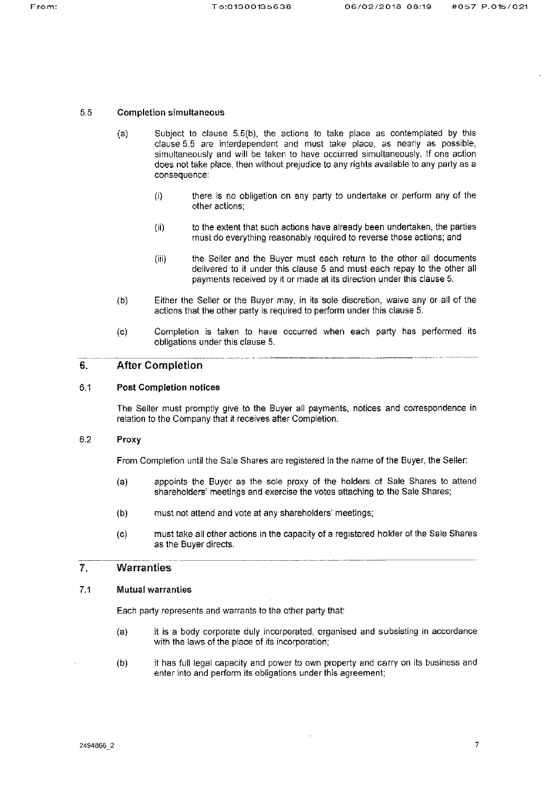#### 5.5 **Completion simultaneous**

- Subject to clause 5.5(b), the actions to take place as contemplated by this  $(a)$ clause 5.5 are interdependent and must take place, as nearly as possible, simultaneously and will be taken to have occurred simultaneously. If one action does not take place, then without prejudice to any rights available to any party as a consequence:
	- there is no obligation on any party to undertake or perform any of the  $(i)$ other actions:
	- to the extent that such actions have already been undertaken, the parties  $(ii)$ must do everything reasonably required to reverse those actions; and
	- the Seller and the Buyer must each return to the other all documents  $(iii)$ delivered to it under this clause 5 and must each repay to the other all payments received by it or made at its direction under this clause 5.
- Either the Seller or the Buyer may, in its sole discretion, waive any or all of the  $(b)$ actions that the other party is required to perform under this clause 5.
- Completion is taken to have occurred when each party has performed its  $(c)$ obligations under this clause 5.

# 6. **After Completion**

#### $6.1$ **Post Completion notices**

The Seller must promptly give to the Buyer all payments, notices and correspondence in relation to the Company that it receives after Completion.

## 6.2 Proxy

From Completion until the Sale Shares are registered in the name of the Buyer, the Seller:

- appoints the Buyer as the sole proxy of the holders of Sale Shares to attend  $(a)$ shareholders' meetings and exercise the votes attaching to the Sale Shares;
- must not attend and vote at any shareholders' meetings;  $(b)$
- must take all other actions in the capacity of a registered holder of the Sale Shares  $(c)$ as the Buyer directs.

# $\mathcal{L}$ **Warranties**

#### $7.1$ **Mutual warranties**

Each party represents and warrants to the other party that:

- it is a body corporate duly incorporated, organised and subsisting in accordance  $(a)$ with the laws of the place of its incorporation;
- it has full legal capacity and power to own property and carry on its business and  $(b)$ enter into and perform its obligations under this agreement;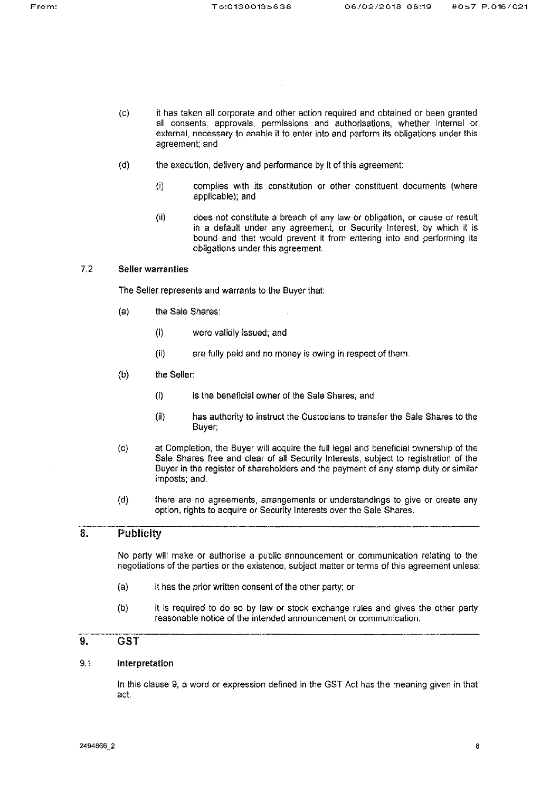- it has taken all corporate and other action required and obtained or been granted  $(c)$ all consents, approvals, permissions and authorisations, whether internal or external, necessary to enable it to enter into and perform its obligations under this agreement; and
- $(d)$ the execution, delivery and performance by it of this agreement;
	- complies with its constitution or other constituent documents (where  $(i)$ applicable); and
	- $(ii)$ does not constitute a breach of any law or obligation, or cause or result in a default under any agreement, or Security Interest, by which it is bound and that would prevent it from entering into and performing its obligations under this agreement.

#### $7.2$ **Seller warranties**

The Seller represents and warrants to the Buyer that:

- the Sale Shares:  $(a)$ 
	- $(i)$ were validly issued; and
	- $(ii)$ are fully paid and no money is owing in respect of them.
- $(b)$ the Seller:
	- $(i)$ is the beneficial owner of the Sale Shares; and
	- $(ii)$ has authority to instruct the Custodians to transfer the Sale Shares to the Buyer;
- at Completion, the Buyer will acquire the full legal and beneficial ownership of the  $(c)$ Sale Shares free and clear of all Security Interests, subject to registration of the Buyer in the register of shareholders and the payment of any stamp duty or similar imposts; and.
- there are no agreements, arrangements or understandings to give or create any  $(d)$ option, rights to acquire or Security Interests over the Sale Shares.

# 8. Publicity

No party will make or authorise a public announcement or communication relating to the negotiations of the parties or the existence, subject matter or terms of this agreement unless:

- $(a)$ it has the prior written consent of the other party; or
- $(b)$ it is required to do so by law or stock exchange rules and gives the other party reasonable notice of the intended announcement or communication.

# 9. GST

#### $9.1$ Interpretation

In this clause 9, a word or expression defined in the GST Act has the meaning given in that act.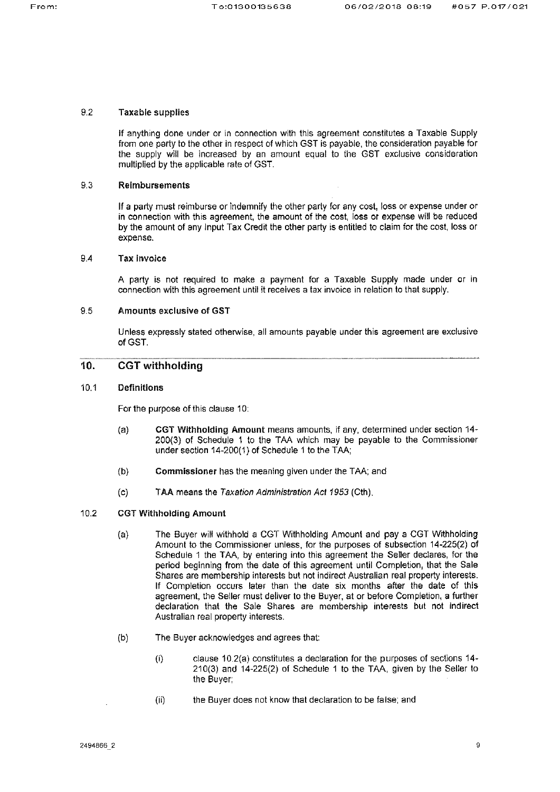#### $9.2$ **Taxable supplies**

If anything done under or in connection with this agreement constitutes a Taxable Supply from one party to the other in respect of which GST is payable, the consideration payable for the supply will be increased by an amount equal to the GST exclusive consideration multiplied by the applicable rate of GST.

## $9.3$ **Reimbursements**

If a party must reimburse or indemnify the other party for any cost, loss or expense under or in connection with this agreement, the amount of the cost, loss or expense will be reduced by the amount of any input Tax Credit the other party is entitled to claim for the cost, loss or expense.

# $9.4$ **Tax invoice**

A party is not required to make a payment for a Taxable Supply made under or in connection with this agreement until it receives a tax invoice in relation to that supply.

## 9.5 Amounts exclusive of GST

Unless expressly stated otherwise, all amounts payable under this agreement are exclusive of GST.

# 10. **CGT** withholding

## $10.1$ **Definitions**

For the purpose of this clause 10:

- CGT Withholding Amount means amounts, if any, determined under section 14- $(a)$ 200(3) of Schedule 1 to the TAA which may be payable to the Commissioner under section 14-200(1) of Schedule 1 to the TAA;
- $(b)$ Commissioner has the meaning given under the TAA; and
- $(c)$ TAA means the Taxation Administration Act 1953 (Cth).
- $10.2$ **CGT Withholding Amount** 
	- The Buyer will withhold a CGT Withholding Amount and pay a CGT Withholding  $(a)$ Amount to the Commissioner unless, for the purposes of subsection 14-225(2) of Schedule 1 the TAA, by entering into this agreement the Seller declares, for the period beginning from the date of this agreement until Completion, that the Sale Shares are membership interests but not indirect Australian real property interests. If Completion occurs later than the date six months after the date of this agreement, the Seller must deliver to the Buyer, at or before Completion, a further declaration that the Sale Shares are membership interests but not indirect Australian real property interests.
	- $(b)$ The Buyer acknowledges and agrees that:
		- clause 10.2(a) constitutes a declaration for the purposes of sections 14- $(i)$ 210(3) and 14-225(2) of Schedule 1 to the TAA, given by the Seller to the Buyer;
		- $(ii)$ the Buyer does not know that declaration to be faise; and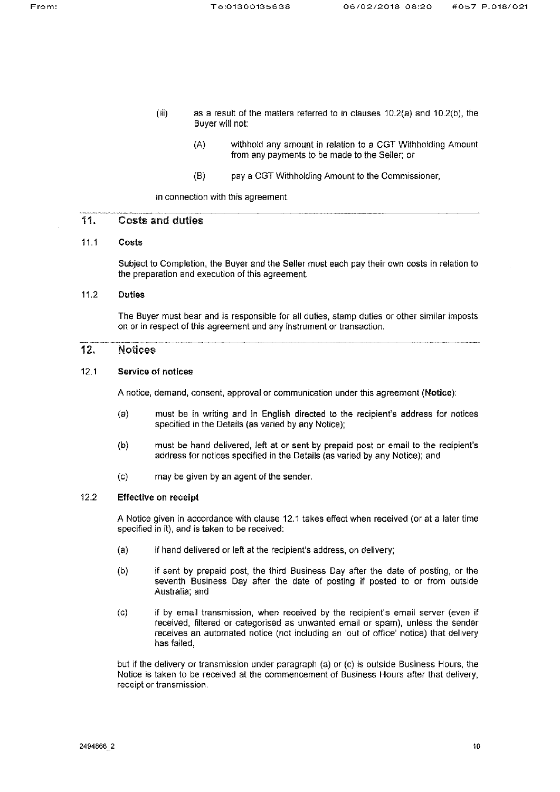- $(iii)$ as a result of the matters referred to in clauses 10.2(a) and 10.2(b), the Buyer will not:
	- $(A)$ withhold any amount in relation to a CGT Withholding Amount from any payments to be made to the Seller; or
	- $(B)$ pay a CGT Withholding Amount to the Commissioner,

in connection with this agreement.

## 11. **Costs and duties**

# $11.1$ Costs

Subject to Completion, the Buyer and the Seller must each pay their own costs in relation to the preparation and execution of this agreement.

## $11.2$ **Duties**

The Buyer must bear and is responsible for all duties, stamp duties or other similar imposts on or in respect of this agreement and any instrument or transaction.

# 12. **Notices**

# $12.1$ **Service of notices**

A notice, demand, consent, approval or communication under this agreement (Notice):

- must be in writing and in English directed to the recipient's address for notices  $(a)$ specified in the Details (as varied by any Notice);
- must be hand delivered, left at or sent by prepaid post or email to the recipient's  $(b)$ address for notices specified in the Details (as varied by any Notice); and
- $(c)$ may be given by an agent of the sender.

# $12.2$ **Effective on receipt**

A Notice given in accordance with clause 12.1 takes effect when received (or at a later time specified in it), and is taken to be received.

- $(a)$ if hand delivered or left at the recipient's address, on delivery;
- $(b)$ if sent by prepaid post, the third Business Day after the date of posting, or the seventh Business Day after the date of posting if posted to or from outside Australia; and
- $(c)$ if by email transmission, when received by the recipient's email server (even if received, filtered or categorised as unwanted email or spam), unless the sender receives an automated notice (not including an 'out of office' notice) that delivery has failed.

but if the delivery or transmission under paragraph (a) or (c) is outside Business Hours, the Notice is taken to be received at the commencement of Business Hours after that delivery, receipt or transmission.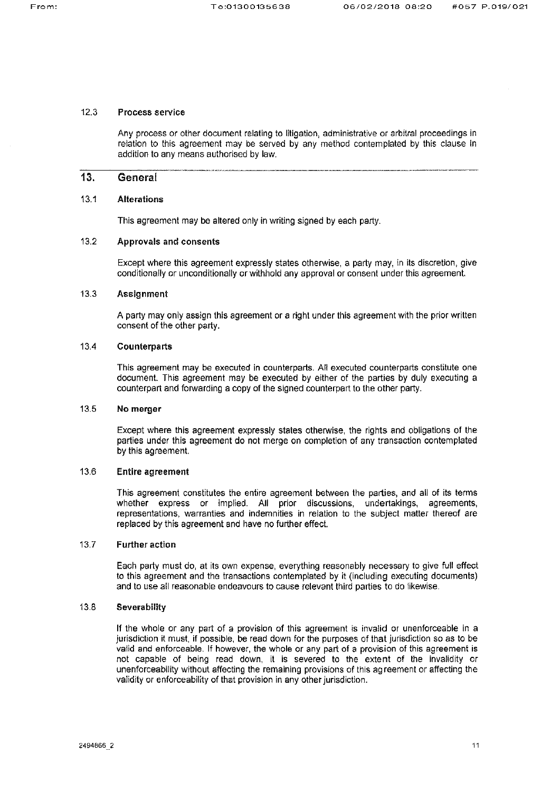#### $12.3$ Process service

Any process or other document relating to litigation, administrative or arbitral proceedings in relation to this agreement may be served by any method contemplated by this clause in addition to any means authorised by law.

# 13. General

#### $13.1$ **Alterations**

This agreement may be altered only in writing signed by each party.

## $13.2$ **Approvals and consents**

Except where this agreement expressly states otherwise, a party may, in its discretion, give conditionally or unconditionally or withhold any approval or consent under this agreement.

# $13.3$ **Assignment**

A party may only assign this agreement or a right under this agreement with the prior written consent of the other party.

## 13.4 **Counterparts**

This agreement may be executed in counterparts. All executed counterparts constitute one document. This agreement may be executed by either of the parties by duly executing a counterpart and forwarding a copy of the signed counterpart to the other party.

#### 13.5 No merger

Except where this agreement expressly states otherwise, the rights and obligations of the parties under this agreement do not merge on completion of any transaction contemplated by this agreement.

# 13.6 Entire agreement

This agreement constitutes the entire agreement between the parties, and all of its terms whether express or implied. All prior discussions, undertakings, agreements, representations, warranties and indemnities in relation to the subject matter thereof are replaced by this agreement and have no further effect.

# $13.7$ **Further action**

Each party must do, at its own expense, everything reasonably necessary to give full effect to this agreement and the transactions contemplated by it (including executing documents) and to use all reasonable endeavours to cause relevant third parties to do likewise.

# $13.8$ Severability

If the whole or any part of a provision of this agreement is invalid or unenforceable in a jurisdiction it must, if possible, be read down for the purposes of that jurisdiction so as to be valid and enforceable. If however, the whole or any part of a provision of this agreement is not capable of being read down, it is severed to the extent of the invalidity or unenforceability without affecting the remaining provisions of this agreement or affecting the validity or enforceability of that provision in any other jurisdiction.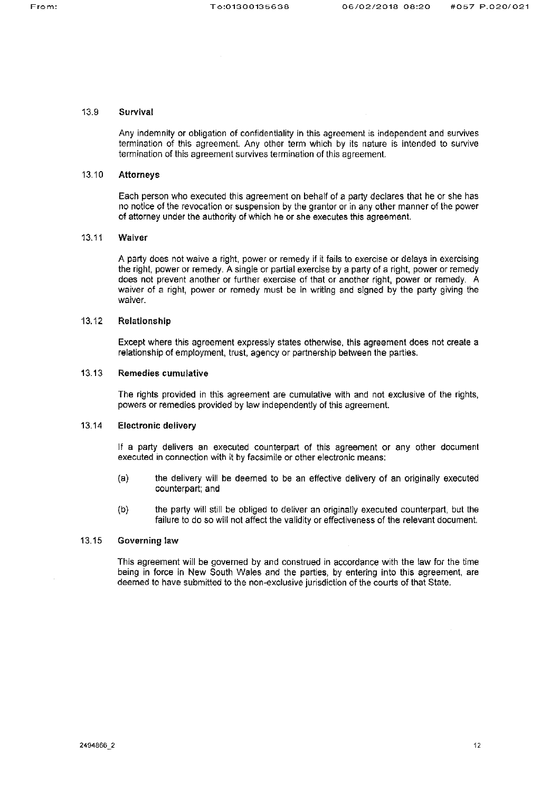#### 13.9 Survival

Any indemnity or obligation of confidentiality in this agreement is independent and survives termination of this agreement. Any other term which by its nature is intended to survive termination of this agreement survives termination of this agreement.

#### 13.10 **Attorneys**

Each person who executed this agreement on behalf of a party declares that he or she has no notice of the revocation or suspension by the grantor or in any other manner of the power of attorney under the authority of which he or she executes this agreement.

#### 13.11 Waiver

A party does not waive a right, power or remedy if it fails to exercise or delays in exercising the right, power or remedy. A single or partial exercise by a party of a right, power or remedy does not prevent another or further exercise of that or another right, power or remedy. A waiver of a right, power or remedy must be in writing and signed by the party giving the waiver.

## 13.12 Relationship

Except where this agreement expressly states otherwise, this agreement does not create a relationship of employment, trust, agency or partnership between the parties.

## 13.13 Remedies cumulative

The rights provided in this agreement are cumulative with and not exclusive of the rights. powers or remedies provided by law independently of this agreement.

#### 13.14 **Electronic delivery**

If a party delivers an executed counterpart of this agreement or any other document executed in connection with it by facsimile or other electronic means:

- $(a)$ the delivery will be deemed to be an effective delivery of an originally executed counterpart; and
- the party will still be obliged to deliver an originally executed counterpart, but the  $(b)$ failure to do so will not affect the validity or effectiveness of the relevant document.

## 13.15 **Governing law**

This agreement will be governed by and construed in accordance with the law for the time being in force in New South Wales and the parties, by entering into this agreement, are deemed to have submitted to the non-exclusive jurisdiction of the courts of that State.